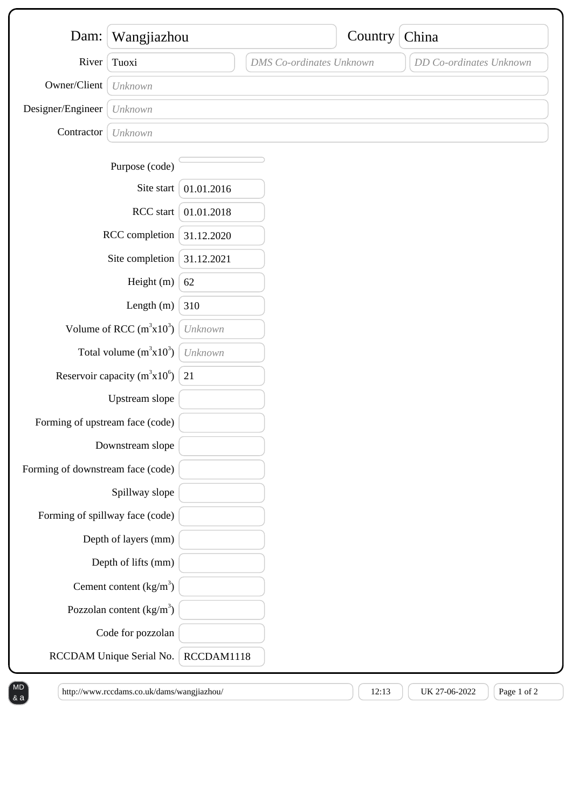| Dam:                              | Wangjiazhou                |            |                                 | Country | China                   |
|-----------------------------------|----------------------------|------------|---------------------------------|---------|-------------------------|
| River                             | Tuoxi                      |            | <b>DMS</b> Co-ordinates Unknown |         | DD Co-ordinates Unknown |
| Owner/Client                      | Unknown                    |            |                                 |         |                         |
| Designer/Engineer                 |                            |            |                                 |         |                         |
| Contractor                        | Unknown                    |            |                                 |         |                         |
|                                   | Unknown                    |            |                                 |         |                         |
|                                   | Purpose (code)             |            |                                 |         |                         |
|                                   | Site start                 | 01.01.2016 |                                 |         |                         |
| RCC start                         |                            | 01.01.2018 |                                 |         |                         |
| RCC completion                    |                            | 31.12.2020 |                                 |         |                         |
| Site completion                   |                            | 31.12.2021 |                                 |         |                         |
| Height (m)                        |                            | 62         |                                 |         |                         |
| Length $(m)$                      |                            | 310        |                                 |         |                         |
| Volume of RCC $(m^3x10^3)$        |                            | Unknown    |                                 |         |                         |
| Total volume $(m^3x10^3)$         |                            | Unknown    |                                 |         |                         |
| Reservoir capacity ( $m^3x10^6$ ) |                            | 21         |                                 |         |                         |
|                                   | Upstream slope             |            |                                 |         |                         |
| Forming of upstream face (code)   |                            |            |                                 |         |                         |
| Downstream slope                  |                            |            |                                 |         |                         |
| Forming of downstream face (code) |                            |            |                                 |         |                         |
| Spillway slope                    |                            |            |                                 |         |                         |
| Forming of spillway face (code)   |                            |            |                                 |         |                         |
|                                   | Depth of layers (mm)       |            |                                 |         |                         |
|                                   | Depth of lifts (mm)        |            |                                 |         |                         |
|                                   | Cement content $(kg/m3)$   |            |                                 |         |                         |
|                                   | Pozzolan content $(kg/m3)$ |            |                                 |         |                         |
|                                   | Code for pozzolan          |            |                                 |         |                         |
|                                   | RCCDAM Unique Serial No.   |            | RCCDAM1118                      |         |                         |

 $\left[\text{http://www.rccdams.co.uk/dams/wangjiazhou/}\right] \left[\text{12:13 }\right] \left[\text{UK 27-06-2022 }\right] \left[\text{Page 1 of 2}\right]$ 

& a